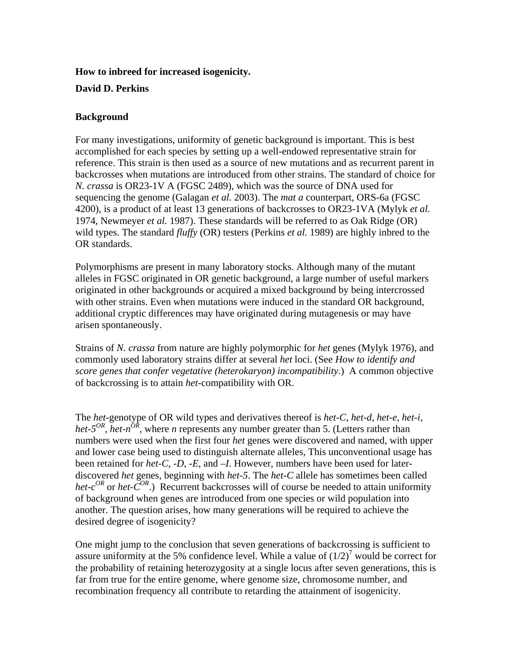#### **How to inbreed for increased isogenicity.**

### **David D. Perkins**

### **Background**

For many investigations, uniformity of genetic background is important. This is best accomplished for each species by setting up a well-endowed representative strain for reference. This strain is then used as a source of new mutations and as recurrent parent in backcrosses when mutations are introduced from other strains. The standard of choice for *N. crassa* is OR23-1V A (FGSC 2489), which was the source of DNA used for sequencing the genome (Galagan *et al.* 2003). The *mat a* counterpart, ORS-6a (FGSC 4200), is a product of at least 13 generations of backcrosses to OR23-1VA (Mylyk *et al.* 1974, Newmeyer *et al.* 1987). These standards will be referred to as Oak Ridge (OR) wild types. The standard *fluffy* (OR) testers (Perkins *et al.* 1989) are highly inbred to the OR standards.

Polymorphisms are present in many laboratory stocks. Although many of the mutant alleles in FGSC originated in OR genetic background, a large number of useful markers originated in other backgrounds or acquired a mixed background by being intercrossed with other strains. Even when mutations were induced in the standard OR background, additional cryptic differences may have originated during mutagenesis or may have arisen spontaneously.

Strains of *N. crassa* from nature are highly polymorphic for *het* genes (Mylyk 1976), and commonly used laboratory strains differ at several *het* loci. (See *How to identify and score genes that confer vegetative (heterokaryon) incompatibility*.) A common objective of backcrossing is to attain *het*-compatibility with OR.

The *het*-genotype of OR wild types and derivatives thereof is *het-C*, *het-d*, *het-e*, *het-i*, *het-5<sup>OR</sup>*, *het-n<sup>OR</sup>*, where *n* represents any number greater than 5. (Letters rather than numbers were used when the first four *het* genes were discovered and named, with upper and lower case being used to distinguish alternate alleles, This unconventional usage has been retained for *het-C*, *-D*, *-E*, and *–I*. However, numbers have been used for laterdiscovered *het* genes, beginning with *het-5*. The *het-C* allele has sometimes been called *het-c<sup>OR</sup>* or *het-C<sup>OR</sup>*.) Recurrent backcrosses will of course be needed to attain uniformity of background when genes are introduced from one species or wild population into another. The question arises, how many generations will be required to achieve the desired degree of isogenicity?

One might jump to the conclusion that seven generations of backcrossing is sufficient to assure uniformity at the 5% confidence level. While a value of  $(1/2)^7$  would be correct for the probability of retaining heterozygosity at a single locus after seven generations, this is far from true for the entire genome, where genome size, chromosome number, and recombination frequency all contribute to retarding the attainment of isogenicity.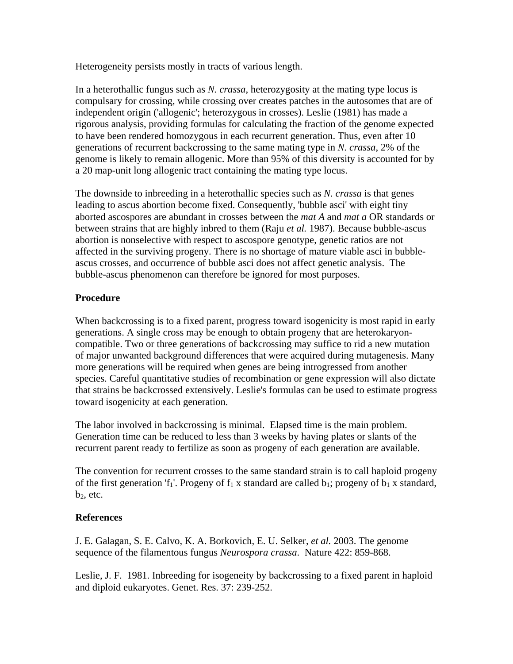Heterogeneity persists mostly in tracts of various length.

In a heterothallic fungus such as *N. crassa*, heterozygosity at the mating type locus is compulsary for crossing, while crossing over creates patches in the autosomes that are of independent origin ('allogenic'; heterozygous in crosses). Leslie (1981) has made a rigorous analysis, providing formulas for calculating the fraction of the genome expected to have been rendered homozygous in each recurrent generation. Thus, even after 10 generations of recurrent backcrossing to the same mating type in *N. crassa*, 2% of the genome is likely to remain allogenic. More than 95% of this diversity is accounted for by a 20 map-unit long allogenic tract containing the mating type locus.

The downside to inbreeding in a heterothallic species such as *N. crassa* is that genes leading to ascus abortion become fixed. Consequently, 'bubble asci' with eight tiny aborted ascospores are abundant in crosses between the *mat A* and *mat a* OR standards or between strains that are highly inbred to them (Raju *et al.* 1987). Because bubble-ascus abortion is nonselective with respect to ascospore genotype, genetic ratios are not affected in the surviving progeny. There is no shortage of mature viable asci in bubbleascus crosses, and occurrence of bubble asci does not affect genetic analysis. The bubble-ascus phenomenon can therefore be ignored for most purposes.

# **Procedure**

When backcrossing is to a fixed parent, progress toward isogenicity is most rapid in early generations. A single cross may be enough to obtain progeny that are heterokaryoncompatible. Two or three generations of backcrossing may suffice to rid a new mutation of major unwanted background differences that were acquired during mutagenesis. Many more generations will be required when genes are being introgressed from another species. Careful quantitative studies of recombination or gene expression will also dictate that strains be backcrossed extensively. Leslie's formulas can be used to estimate progress toward isogenicity at each generation.

The labor involved in backcrossing is minimal. Elapsed time is the main problem. Generation time can be reduced to less than 3 weeks by having plates or slants of the recurrent parent ready to fertilize as soon as progeny of each generation are available.

The convention for recurrent crosses to the same standard strain is to call haploid progeny of the first generation 'f<sub>1</sub>'. Progeny of  $f_1 x$  standard are called  $b_1$ ; progeny of  $b_1 x$  standard,  $b<sub>2</sub>$ , etc.

# **References**

J. E. Galagan, S. E. Calvo, K. A. Borkovich, E. U. Selker, *et al.* 2003. The genome sequence of the filamentous fungus *Neurospora crassa*. Nature 422: 859-868.

Leslie, J. F. 1981. Inbreeding for isogeneity by backcrossing to a fixed parent in haploid and diploid eukaryotes. Genet. Res. 37: 239-252.